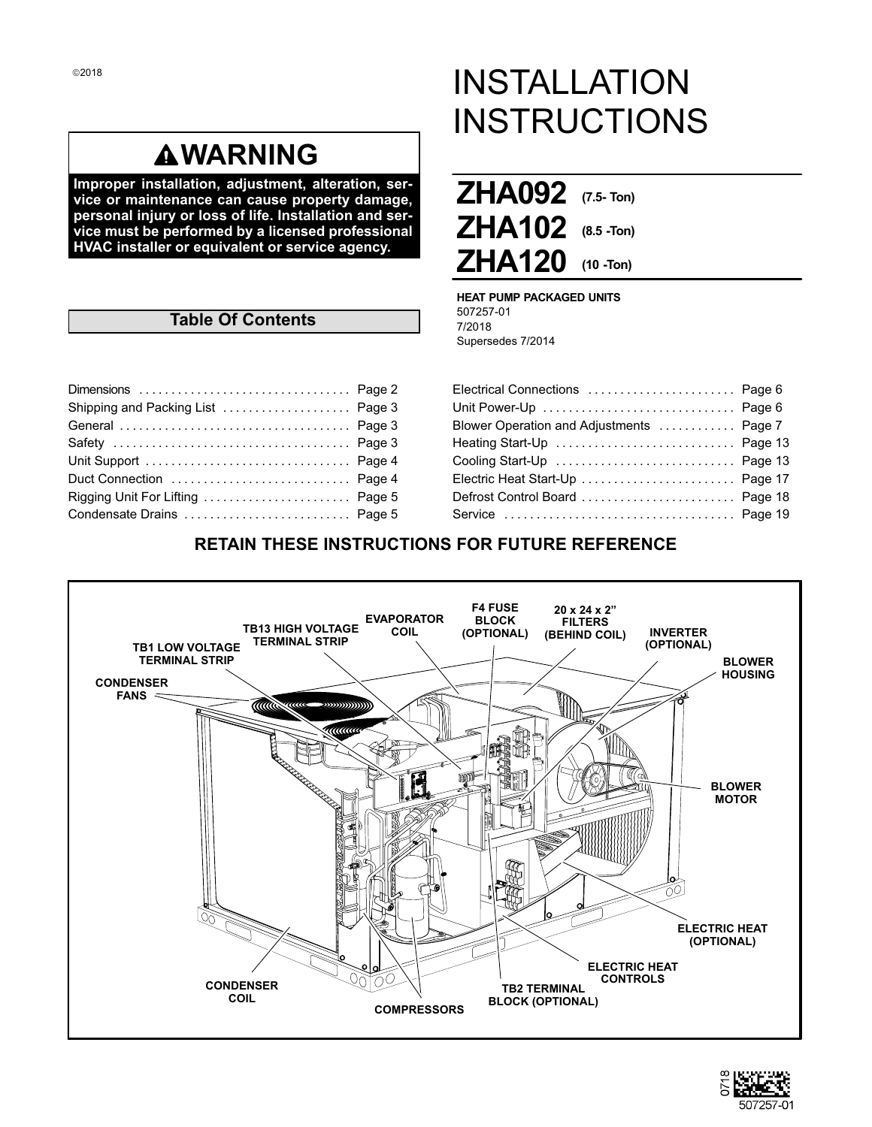## **WARNING**

**Improper installation, adjustment, alteration, service or maintenance can cause property damage, personal injury or loss of life. Installation and service must be performed by a licensed professional HVAC installer or equivalent or service agency.**

## **Table Of Contents**

| Rigging Unit For Lifting  Page 5 |  |
|----------------------------------|--|
|                                  |  |

# INSTALLATION **INSTRUCTIONS**

| ZHA092 (7.5- Ton)   |  |
|---------------------|--|
| $ZHA102$ (8.5 -Ton) |  |
| $ZHA120$ (10 -Ton)  |  |

**HEAT PUMP PACKAGED UNITS** 507257-01 7/2018 Supersedes 7/2014

| Electrical Connections  Page 6           |  |
|------------------------------------------|--|
| Unit Power-Up  Page 6                    |  |
| Blower Operation and Adjustments  Page 7 |  |
| Heating Start-Up  Page 13                |  |
| Cooling Start-Up  Page 13                |  |
|                                          |  |
| Defrost Control Board  Page 18           |  |
|                                          |  |
|                                          |  |

## **RETAIN THESE INSTRUCTIONS FOR FUTURE REFERENCE**



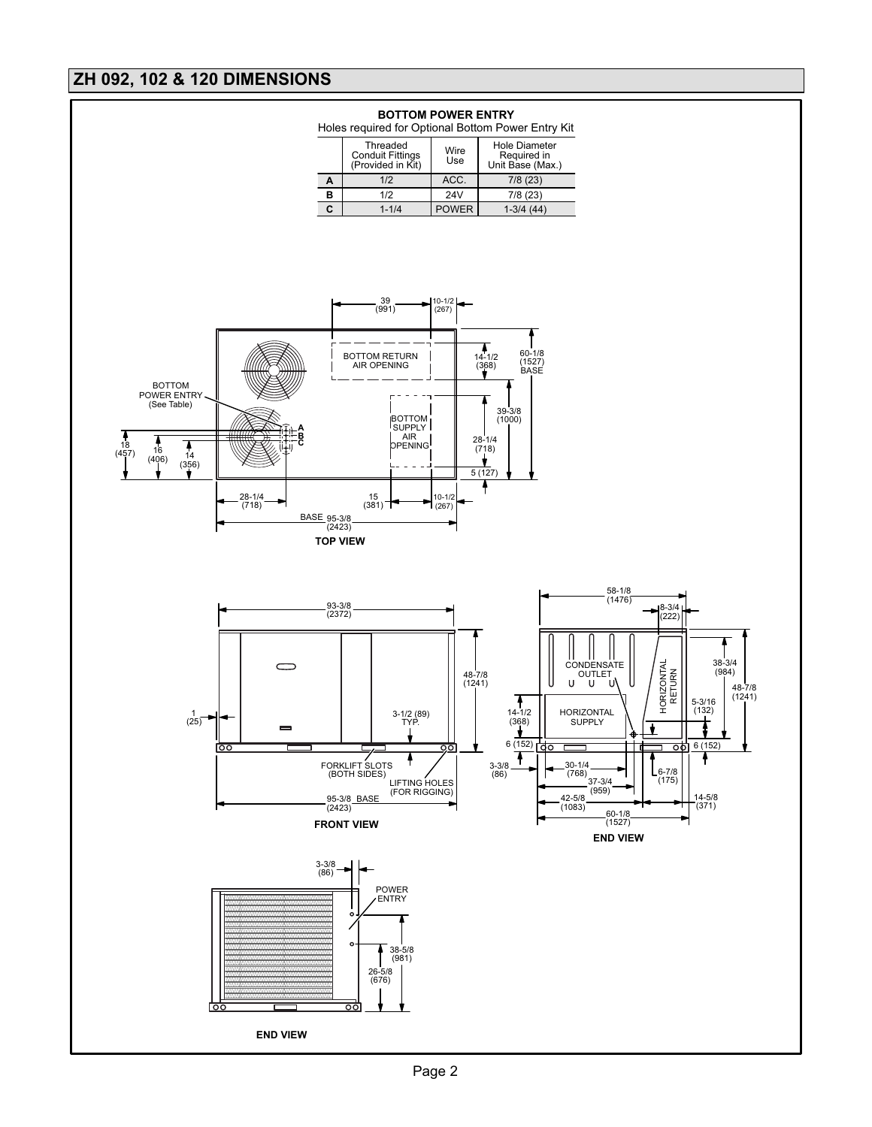## <span id="page-1-0"></span>**ZH 092, 102 & 120 DIMENSIONS**

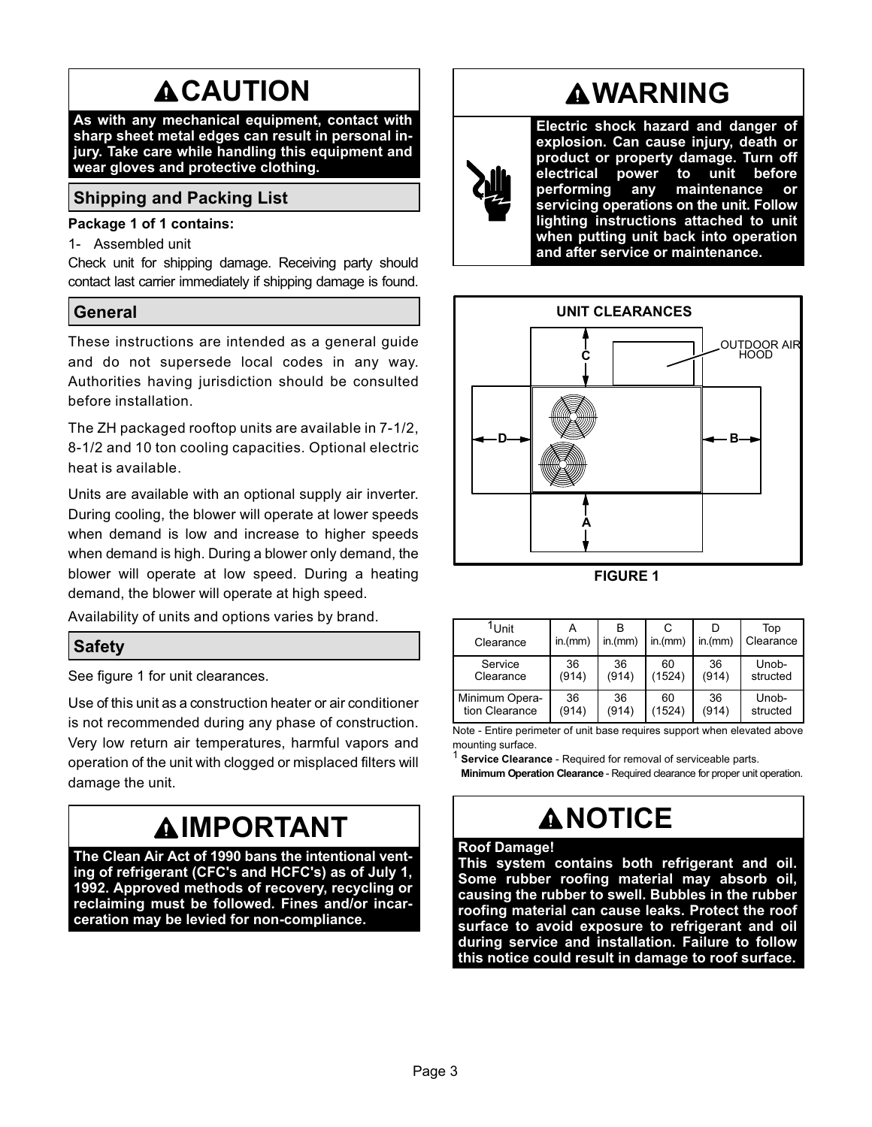# **ACAUTION**

<span id="page-2-0"></span>**As with any mechanical equipment, contact with sharp sheet metal edges can result in personal injury. Take care while handling this equipment and wear gloves and protective clothing.**

## **Shipping and Packing List**

#### **Package 1 of 1 contains:**

1- Assembled unit

Check unit for shipping damage. Receiving party should contact last carrier immediately if shipping damage is found.

## **General**

These instructions are intended as a general guide and do not supersede local codes in any way. Authorities having jurisdiction should be consulted before installation.

The ZH packaged rooftop units are available in 7-1/2, 8‐1/2 and 10 ton cooling capacities. Optional electric heat is available.

Units are available with an optional supply air inverter. During cooling, the blower will operate at lower speeds when demand is low and increase to higher speeds when demand is high. During a blower only demand, the blower will operate at low speed. During a heating demand, the blower will operate at high speed.

Availability of units and options varies by brand.

## **Safety**

See figure 1 for unit clearances.

Use of this unit as a construction heater or air conditioner is not recommended during any phase of construction. Very low return air temperatures, harmful vapors and operation of the unit with clogged or misplaced filters will damage the unit.

# **IMPORTANT**

**The Clean Air Act of 1990 bans the intentional venting of refrigerant (CFC's and HCFC's) as of July 1, 1992. Approved methods of recovery, recycling or reclaiming must be followed. Fines and/or incarceration may be levied for non-compliance.**

## **WARNING**

**Electric shock hazard and danger of explosion. Can cause injury, death or product or property damage. Turn off electrical power to unit before performing any maintenance or servicing operations on the unit. Follow lighting instructions attached to unit when putting unit back into operation and after service or maintenance.**



**FIGURE 1**

| <sup>1</sup> Unit<br>Clearance | in.(mm) | in.(mm) | in.(mm) | in.(mm) | Top<br>Clearance |
|--------------------------------|---------|---------|---------|---------|------------------|
| Service                        | 36      | 36      | 60      | 36      | Unob-            |
| Clearance                      | (914)   | (914)   | (1524)  | (914)   | structed         |
| Minimum Opera-                 | 36      | 36      | 60      | 36      | Unob-            |
| tion Clearance                 | (914)   | (914)   | (1524)  | (914)   | structed         |

Note - Entire perimeter of unit base requires support when elevated above mounting surface.

1 **Service Clearance** - Required for removal of serviceable parts.

**Minimum Operation Clearance** - Required clearance for proper unit operation.

# **NOTICE**

#### **Roof Damage!**

**This system contains both refrigerant and oil. Some rubber roofing material may absorb oil, causing the rubber to swell. Bubbles in the rubber roofing material can cause leaks. Protect the roof surface to avoid exposure to refrigerant and oil during service and installation. Failure to follow this notice could result in damage to roof surface.**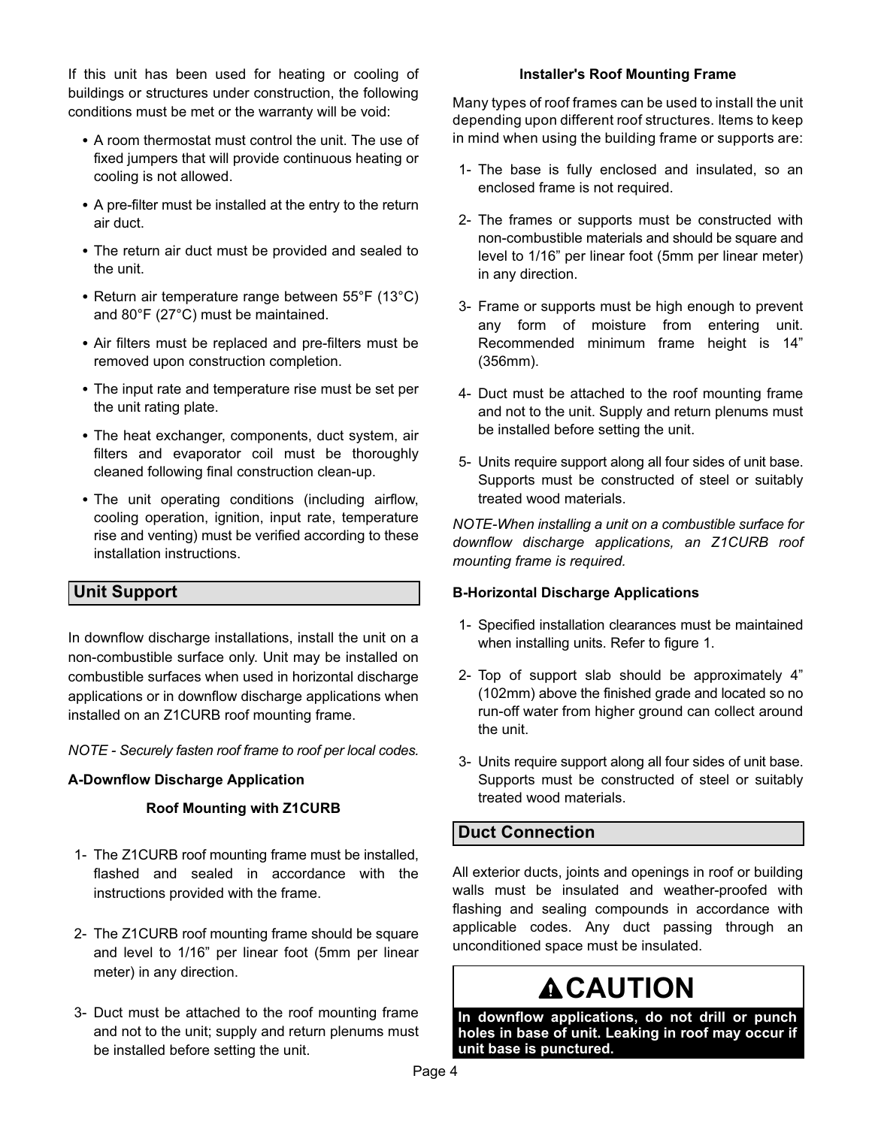<span id="page-3-0"></span>If this unit has been used for heating or cooling of buildings or structures under construction, the following conditions must be met or the warranty will be void:

- A room thermostat must control the unit. The use of fixed jumpers that will provide continuous heating or cooling is not allowed.
- A pre-filter must be installed at the entry to the return air duct.
- The return air duct must be provided and sealed to the unit.
- Return air temperature range between 55°F (13°C) and 80°F (27°C) must be maintained.
- Air filters must be replaced and pre-filters must be removed upon construction completion.
- The input rate and temperature rise must be set per the unit rating plate.
- The heat exchanger, components, duct system, air filters and evaporator coil must be thoroughly cleaned following final construction clean-up.
- The unit operating conditions (including airflow, cooling operation, ignition, input rate, temperature rise and venting) must be verified according to these installation instructions.

## **Unit Support**

In downflow discharge installations, install the unit on a non-combustible surface only. Unit may be installed on combustible surfaces when used in horizontal discharge applications or in downflow discharge applications when installed on an Z1CURB roof mounting frame.

*NOTE - Securely fasten roof frame to roof per local codes.*

#### **A-Downflow Discharge Application**

#### **Roof Mounting with Z1CURB**

- 1- The Z1CURB roof mounting frame must be installed, flashed and sealed in accordance with the instructions provided with the frame.
- 2- The Z1CURB roof mounting frame should be square and level to 1/16" per linear foot (5mm per linear meter) in any direction.
- 3- Duct must be attached to the roof mounting frame and not to the unit; supply and return plenums must be installed before setting the unit.

#### **Installer's Roof Mounting Frame**

Many types of roof frames can be used to install the unit depending upon different roof structures. Items to keep in mind when using the building frame or supports are:

- 1- The base is fully enclosed and insulated, so an enclosed frame is not required.
- 2- The frames or supports must be constructed with non-combustible materials and should be square and level to 1/16" per linear foot (5mm per linear meter) in any direction.
- 3- Frame or supports must be high enough to prevent any form of moisture from entering unit. Recommended minimum frame height is 14" (356mm).
- 4- Duct must be attached to the roof mounting frame and not to the unit. Supply and return plenums must be installed before setting the unit.
- 5- Units require support along all four sides of unit base. Supports must be constructed of steel or suitably treated wood materials.

*NOTE-When installing a unit on a combustible surface for downflow discharge applications, an Z1CURB roof mounting frame is required.*

#### **B-Horizontal Discharge Applications**

- 1- Specified installation clearances must be maintained when installing units. Refer to figure 1.
- 2- Top of support slab should be approximately 4" (102mm) above the finished grade and located so no run-off water from higher ground can collect around the unit.
- 3- Units require support along all four sides of unit base. Supports must be constructed of steel or suitably treated wood materials.

## **Duct Connection**

All exterior ducts, joints and openings in roof or building walls must be insulated and weather-proofed with flashing and sealing compounds in accordance with applicable codes. Any duct passing through an unconditioned space must be insulated.

# **CAUTION**

**In downflow applications, do not drill or punch holes in base of unit. Leaking in roof may occur if unit base is punctured.**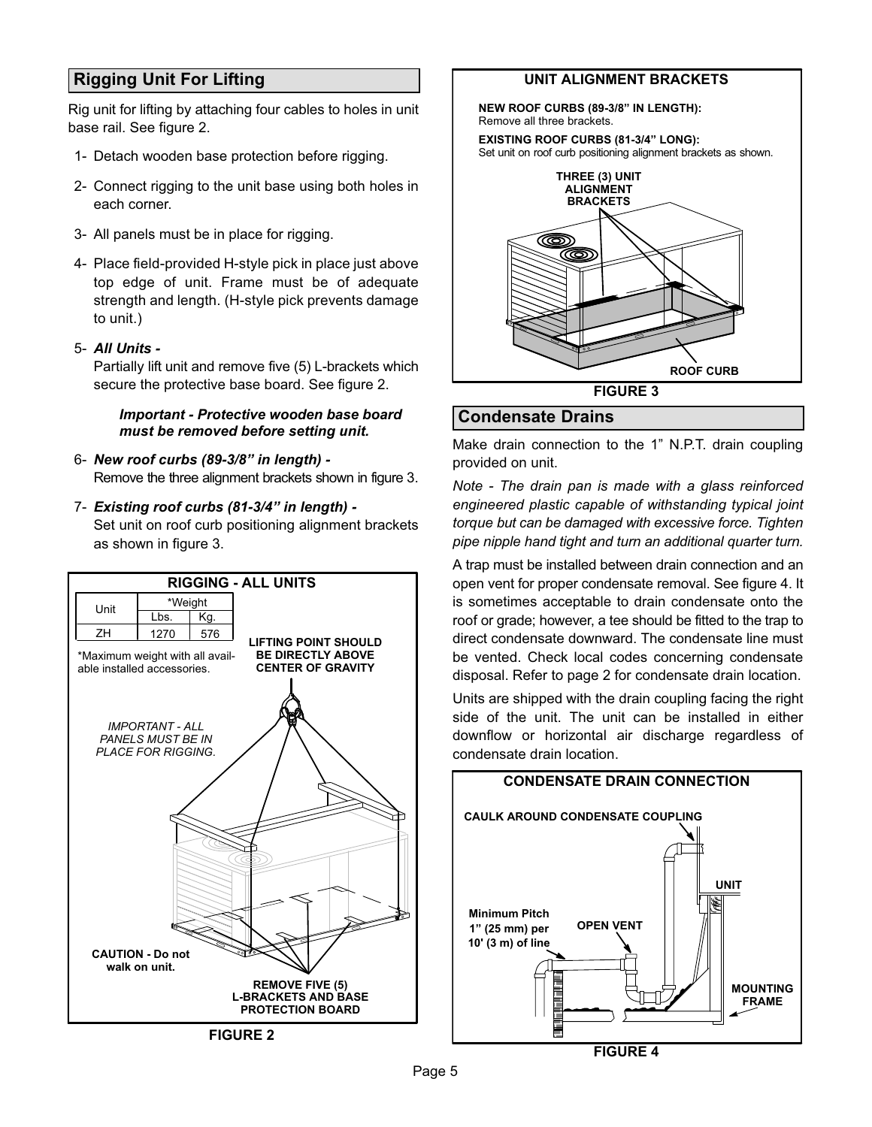## <span id="page-4-0"></span>**Rigging Unit For Lifting**

Rig unit for lifting by attaching four cables to holes in unit base rail. See figure 2.

- 1- Detach wooden base protection before rigging.
- 2- Connect rigging to the unit base using both holes in each corner.
- 3- All panels must be in place for rigging.
- 4- Place field‐provided H‐style pick in place just above top edge of unit. Frame must be of adequate strength and length. (H-style pick prevents damage to unit.)
- 5- *All Units -*

Partially lift unit and remove five (5) L-brackets which secure the protective base board. See figure 2.

#### *Important - Protective wooden base board must be removed before setting unit.*

- 6- *New roof curbs (89-3/8" in length) -* Remove the three alignment brackets shown in figure 3.
- 7- *Existing roof curbs (81-3/4" in length) -* Set unit on roof curb positioning alignment brackets as shown in figure 3.



## **UNIT ALIGNMENT BRACKETS**

**NEW ROOF CURBS (89-3/8" IN LENGTH):** Remove all three brackets.

**EXISTING ROOF CURBS (81-3/4" LONG):** Set unit on roof curb positioning alignment brackets as shown.



## **Condensate Drains**

Make drain connection to the 1" N.P.T. drain coupling provided on unit.

*Note - The drain pan is made with a glass reinforced engineered plastic capable of withstanding typical joint torque but can be damaged with excessive force. Tighten pipe nipple hand tight and turn an additional quarter turn.*

A trap must be installed between drain connection and an open vent for proper condensate removal. See figure 4. It is sometimes acceptable to drain condensate onto the roof or grade; however, a tee should be fitted to the trap to direct condensate downward. The condensate line must be vented. Check local codes concerning condensate disposal. Refer to page 2 for condensate drain location.

Units are shipped with the drain coupling facing the right side of the unit. The unit can be installed in either downflow or horizontal air discharge regardless of condensate drain location.

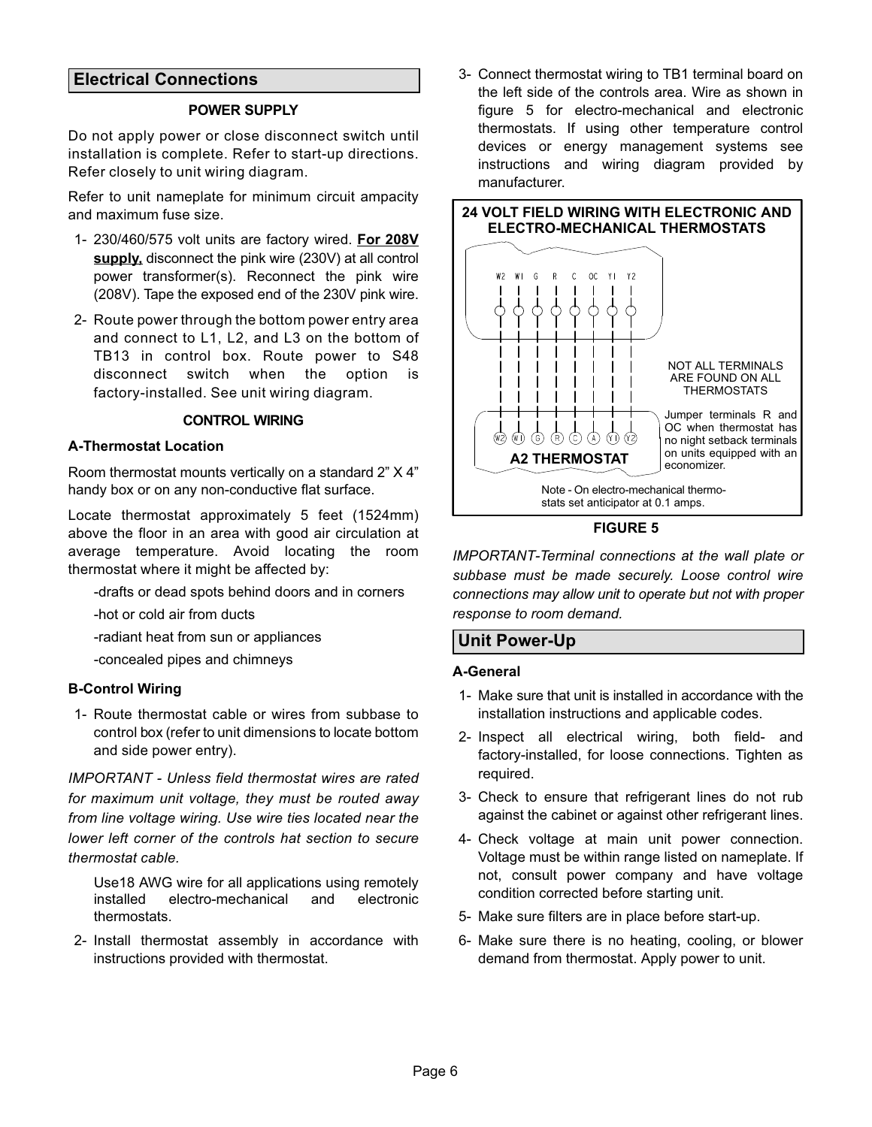## <span id="page-5-0"></span>**Electrical Connections**

#### **POWER SUPPLY**

Do not apply power or close disconnect switch until installation is complete. Refer to start-up directions. Refer closely to unit wiring diagram.

Refer to unit nameplate for minimum circuit ampacity and maximum fuse size.

- 1- 230/460/575 volt units are factory wired. **For 208V supply,** disconnect the pink wire (230V) at all control power transformer(s). Reconnect the pink wire (208V). Tape the exposed end of the 230V pink wire.
- 2- Route power through the bottom power entry area and connect to L1, L2, and L3 on the bottom of TB13 in control box. Route power to S48 disconnect switch when the option is factory-installed. See unit wiring diagram.

#### **CONTROL WIRING**

#### **A-Thermostat Location**

Room thermostat mounts vertically on a standard 2" X 4" handy box or on any non-conductive flat surface.

Locate thermostat approximately 5 feet (1524mm) above the floor in an area with good air circulation at average temperature. Avoid locating the room thermostat where it might be affected by:

-drafts or dead spots behind doors and in corners

-hot or cold air from ducts

-radiant heat from sun or appliances

-concealed pipes and chimneys

#### **B-Control Wiring**

1- Route thermostat cable or wires from subbase to control box (refer to unit dimensions to locate bottom and side power entry).

*IMPORTANT - Unless field thermostat wires are rated for maximum unit voltage, they must be routed away from line voltage wiring. Use wire ties located near the lower left corner of the controls hat section to secure thermostat cable.*

Use18 AWG wire for all applications using remotely installed electro-mechanical and electronic thermostats.

2- Install thermostat assembly in accordance with instructions provided with thermostat.

3- Connect thermostat wiring to TB1 terminal board on the left side of the controls area. Wire as shown in figure 5 for electro-mechanical and electronic thermostats. If using other temperature control devices or energy management systems see instructions and wiring diagram provided by manufacturer.



#### **FIGURE 5**

*IMPORTANT-Terminal connections at the wall plate or subbase must be made securely. Loose control wire connections may allow unit to operate but not with proper response to room demand.*

## **Unit Power-Up**

#### **A-General**

- 1- Make sure that unit is installed in accordance with the installation instructions and applicable codes.
- 2- Inspect all electrical wiring, both field‐ and factory‐installed, for loose connections. Tighten as required.
- 3- Check to ensure that refrigerant lines do not rub against the cabinet or against other refrigerant lines.
- 4- Check voltage at main unit power connection. Voltage must be within range listed on nameplate. If not, consult power company and have voltage condition corrected before starting unit.
- 5- Make sure filters are in place before start‐up.
- 6- Make sure there is no heating, cooling, or blower demand from thermostat. Apply power to unit.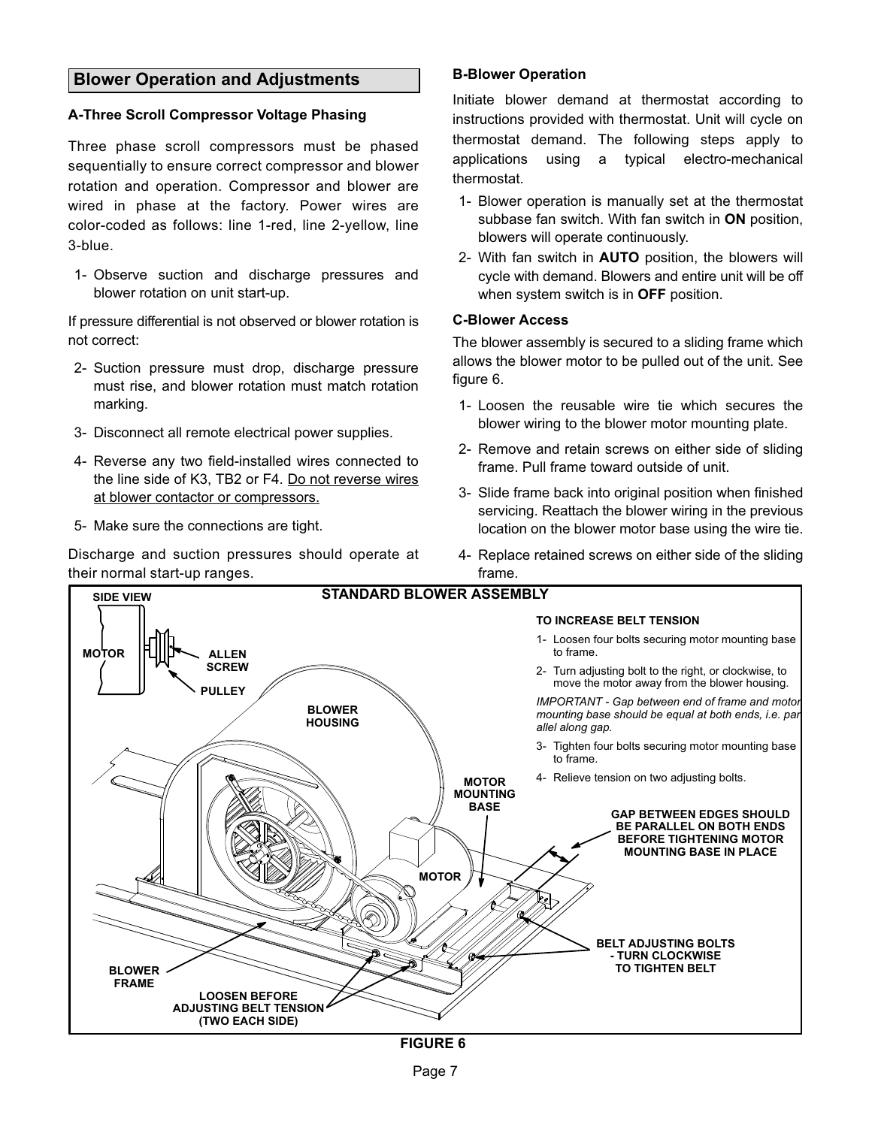## <span id="page-6-0"></span>**Blower Operation and Adjustments**

#### **A-Three Scroll Compressor Voltage Phasing**

Three phase scroll compressors must be phased sequentially to ensure correct compressor and blower rotation and operation. Compressor and blower are wired in phase at the factory. Power wires are color-coded as follows: line 1-red, line 2-yellow, line 3-blue.

1- Observe suction and discharge pressures and blower rotation on unit start-up.

If pressure differential is not observed or blower rotation is not correct:

- 2- Suction pressure must drop, discharge pressure must rise, and blower rotation must match rotation marking.
- 3- Disconnect all remote electrical power supplies.
- 4- Reverse any two field-installed wires connected to the line side of K3, TB2 or F4. Do not reverse wires at blower contactor or compressors.
- 5- Make sure the connections are tight.

Discharge and suction pressures should operate at their normal start‐up ranges.

#### **B-Blower Operation**

Initiate blower demand at thermostat according to instructions provided with thermostat. Unit will cycle on thermostat demand. The following steps apply to applications using a typical electro-mechanical thermostat.

- 1- Blower operation is manually set at the thermostat subbase fan switch. With fan switch in **ON** position, blowers will operate continuously.
- 2- With fan switch in **AUTO** position, the blowers will cycle with demand. Blowers and entire unit will be off when system switch is in **OFF** position.

#### **C-Blower Access**

The blower assembly is secured to a sliding frame which allows the blower motor to be pulled out of the unit. See figure 6.

- 1- Loosen the reusable wire tie which secures the blower wiring to the blower motor mounting plate.
- 2- Remove and retain screws on either side of sliding frame. Pull frame toward outside of unit.
- 3- Slide frame back into original position when finished servicing. Reattach the blower wiring in the previous location on the blower motor base using the wire tie.
- 4- Replace retained screws on either side of the sliding frame.

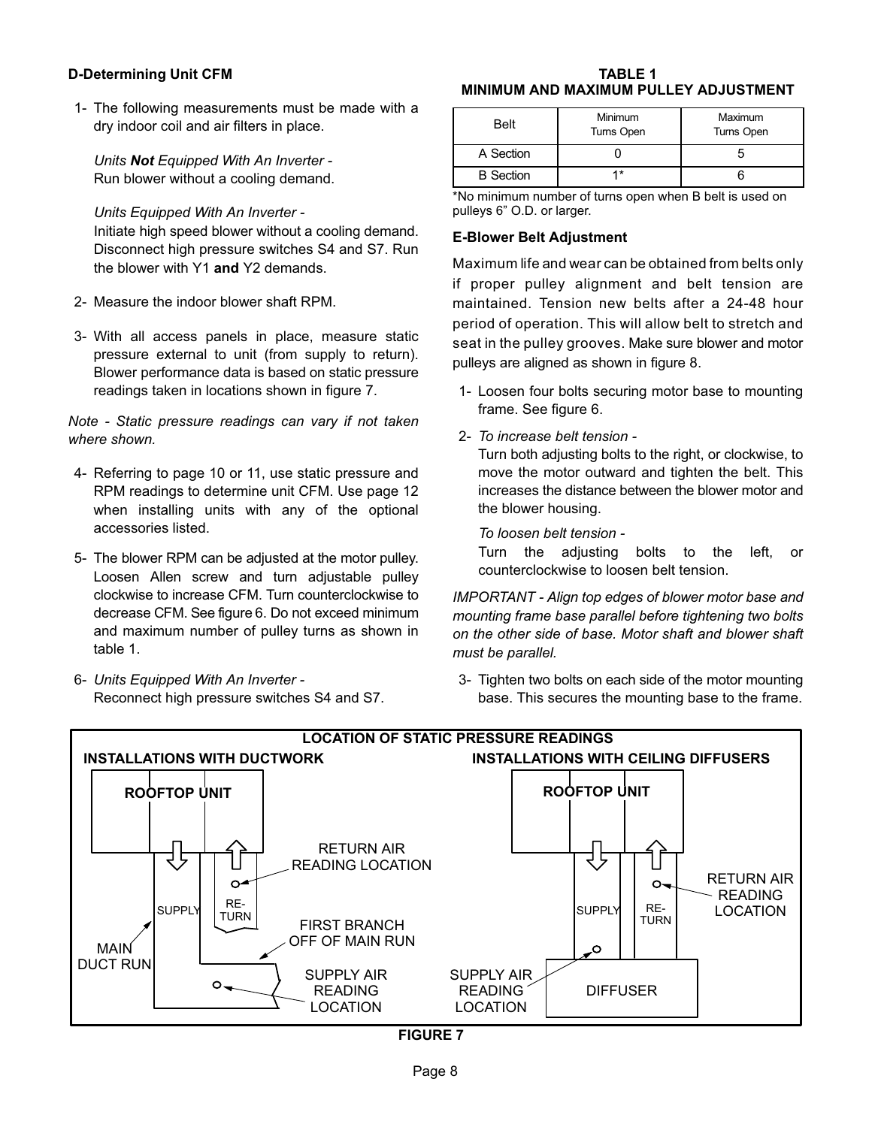#### **D-Determining Unit CFM**

1- The following measurements must be made with a dry indoor coil and air filters in place.

*Units Not Equipped With An Inverter -* Run blower without a cooling demand.

*Units Equipped With An Inverter -*

Initiate high speed blower without a cooling demand. Disconnect high pressure switches S4 and S7. Run the blower with Y1 **and** Y2 demands.

- 2- Measure the indoor blower shaft RPM.
- 3- With all access panels in place, measure static pressure external to unit (from supply to return). Blower performance data is based on static pressure readings taken in locations shown in figure 7.

*Note - Static pressure readings can vary if not taken where shown.*

- 4- Referring to page 10 or 11, use static pressure and RPM readings to determine unit CFM. Use page 12 when installing units with any of the optional accessories listed.
- 5- The blower RPM can be adjusted at the motor pulley. Loosen Allen screw and turn adjustable pulley clockwise to increase CFM. Turn counterclockwise to decrease CFM. See figure [6.](#page-6-0) Do not exceed minimum and maximum number of pulley turns as shown in table 1.
- 6- *Units Equipped With An Inverter -* Reconnect high pressure switches S4 and S7.

#### **TABLE 1 MINIMUM AND MAXIMUM PULLEY ADJUSTMENT**

| <b>Belt</b>      | Minimum<br>Turns Open | Maximum<br>Turns Open |
|------------------|-----------------------|-----------------------|
| A Section        |                       |                       |
| <b>B</b> Section | 4*                    |                       |

\*No minimum number of turns open when B belt is used on pulleys 6" O.D. or larger.

#### **E-Blower Belt Adjustment**

Maximum life and wear can be obtained from belts only if proper pulley alignment and belt tension are maintained. Tension new belts after a 24-48 hour period of operation. This will allow belt to stretch and seat in the pulley grooves. Make sure blower and motor pulleys are aligned as shown in figure [8.](#page-8-0)

- 1- Loosen four bolts securing motor base to mounting frame. See figure [6.](#page-6-0)
- 2- *To increase belt tension -*

Turn both adjusting bolts to the right, or clockwise, to move the motor outward and tighten the belt. This increases the distance between the blower motor and the blower housing.

*To loosen belt tension -*

Turn the adjusting bolts to the left, or counterclockwise to loosen belt tension.

*IMPORTANT - Align top edges of blower motor base and mounting frame base parallel before tightening two bolts on the other side of base. Motor shaft and blower shaft must be parallel.*

3- Tighten two bolts on each side of the motor mounting base. This secures the mounting base to the frame.



**FIGURE 7**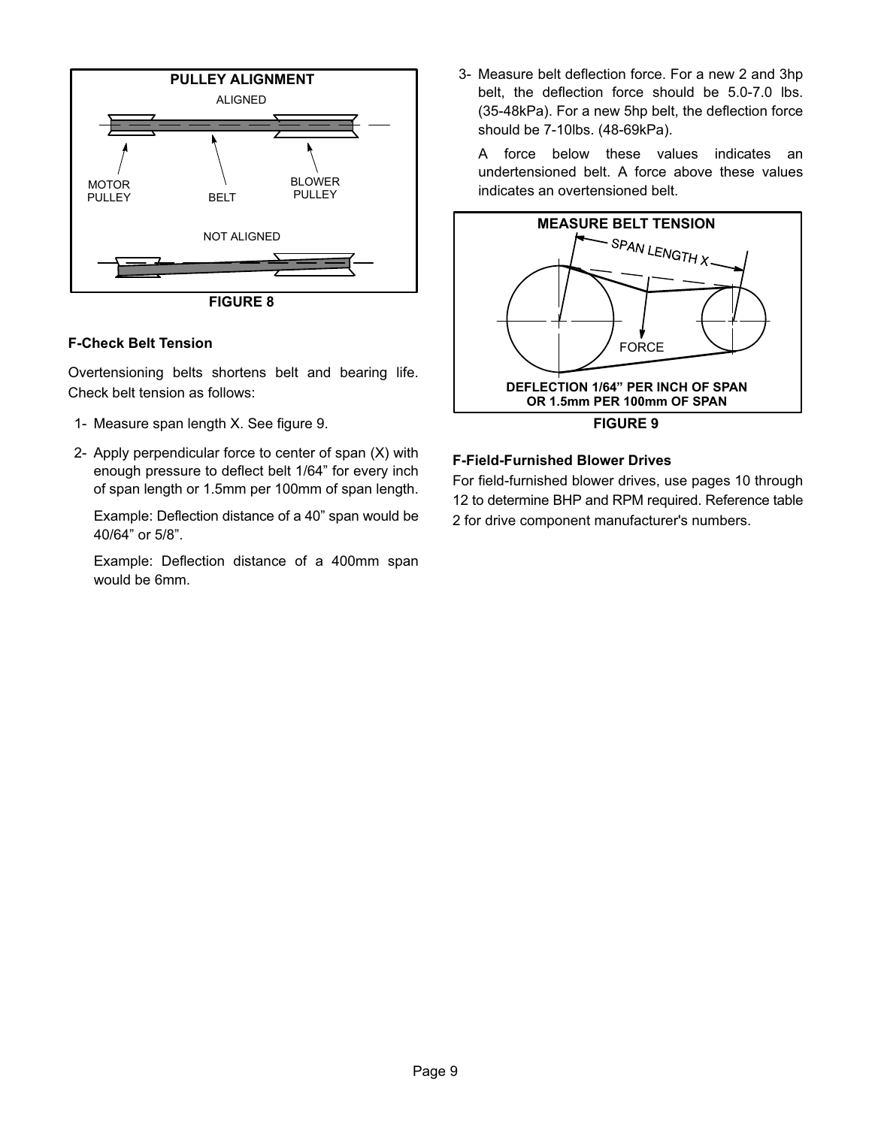<span id="page-8-0"></span>

**FIGURE 8**

#### **F-Check Belt Tension**

Overtensioning belts shortens belt and bearing life. Check belt tension as follows:

- 1- Measure span length X. See figure 9.
- 2- Apply perpendicular force to center of span (X) with enough pressure to deflect belt 1/64" for every inch of span length or 1.5mm per 100mm of span length.

Example: Deflection distance of a 40" span would be 40/64" or 5/8".

Example: Deflection distance of a 400mm span would be 6mm.

3- Measure belt deflection force. For a new 2 and 3hp belt, the deflection force should be 5.0-7.0 lbs. (35-48kPa). For a new 5hp belt, the deflection force should be 7-10lbs. (48-69kPa).

A force below these values indicates an undertensioned belt. A force above these values indicates an overtensioned belt.



#### **F-Field-Furnished Blower Drives**

For field-furnished blower drives, use pages 10 through 12 to determine BHP and RPM required. Reference table [2](#page-12-0) for drive component manufacturer's numbers.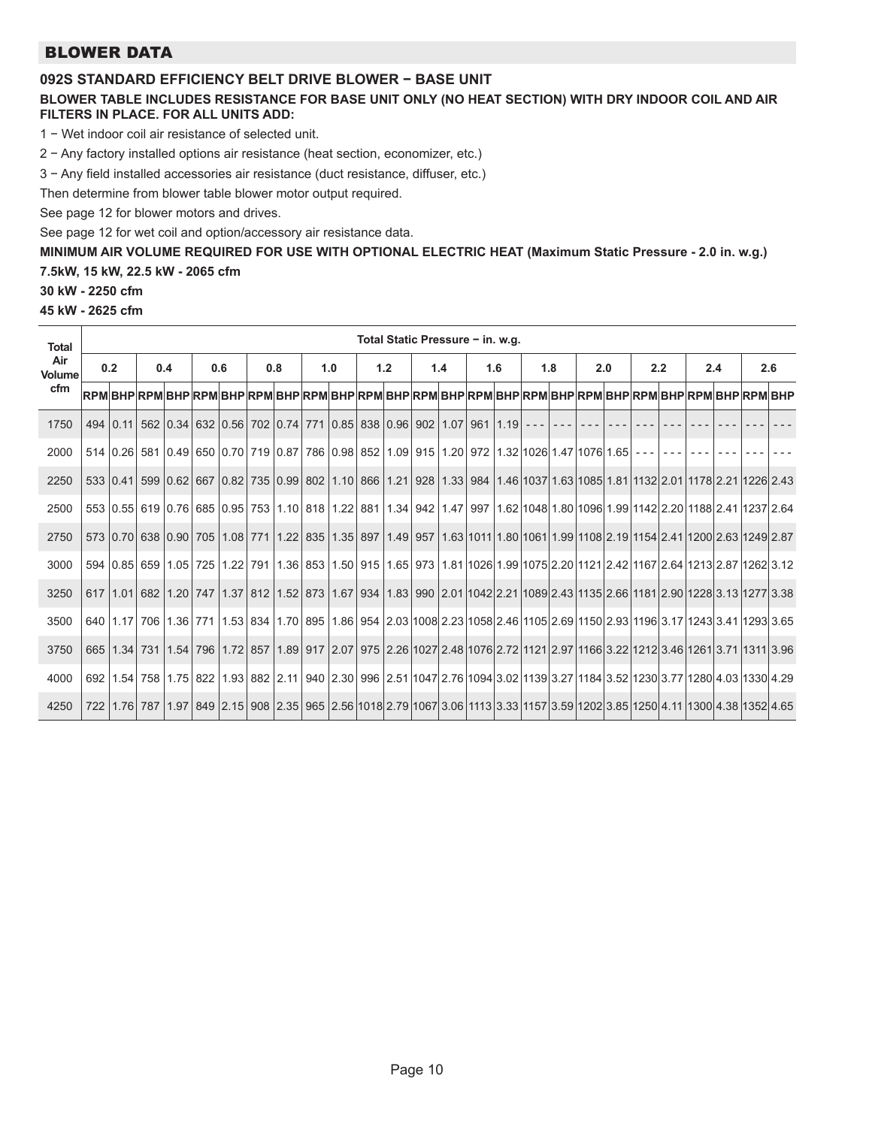## BLOWER DATA

### **092S STANDARD EFFICIENCY BELT DRIVE BLOWER − BASE UNIT**

#### **BLOWER TABLE INCLUDES RESISTANCE FOR BASE UNIT ONLY (NO HEAT SECTION) WITH DRY INDOOR COIL AND AIR FILTERS IN PLACE. FOR ALL UNITS ADD:**

1 − Wet indoor coil air resistance of selected unit.

2 − Any factory installed options air resistance (heat section, economizer, etc.)

3 − Any field installed accessories air resistance (duct resistance, diffuser, etc.)

Then determine from blower table blower motor output required.

See page 12 for blower motors and drives.

See page 12 for wet coil and option/accessory air resistance data.

**MINIMUM AIR VOLUME REQUIRED FOR USE WITH OPTIONAL ELECTRIC HEAT (Maximum Static Pressure - 2.0 in. w.g.)**

#### **7.5kW, 15 kW, 22.5 kW - 2065 cfm**

**30 kW - 2250 cfm**

**45 kW - 2625 cfm**

| Total Static Pressure - in. w.g.<br><b>Total</b> |     |                 |     |  |     |  |     |  |     |                                                                                                                                                                               |            |  |     |  |     |  |     |  |     |  |     |  |     |  |
|--------------------------------------------------|-----|-----------------|-----|--|-----|--|-----|--|-----|-------------------------------------------------------------------------------------------------------------------------------------------------------------------------------|------------|--|-----|--|-----|--|-----|--|-----|--|-----|--|-----|--|
| Air<br>Volume                                    | 0.2 |                 | 0.4 |  | 0.6 |  | 0.8 |  | 1.0 |                                                                                                                                                                               | 1.2<br>1.4 |  | 1.6 |  | 1.8 |  | 2.0 |  | 2.2 |  | 2.4 |  | 2.6 |  |
| cfm                                              |     |                 |     |  |     |  |     |  |     | RPM BHP RPM BHP RPM BHP RPM BHP RPM BHP RPM BHP RPM BHP RPM BHP RPM BHP RPM BHP RPM BHP RPM BHP RPM BHP                                                                       |            |  |     |  |     |  |     |  |     |  |     |  |     |  |
| 1750                                             |     | $494 \mid 0.11$ |     |  |     |  |     |  |     | 562 0.34 632 0.56 702 0.74 771 0.85 838 0.96 902 1.07 961 1.19 --- --                                                                                                         |            |  |     |  |     |  |     |  |     |  |     |  |     |  |
| 2000                                             |     |                 |     |  |     |  |     |  |     | 514 0.26 581 0.49 650 0.70 719 0.87 786 0.98 852 1.09 915 1.20 972 1.32 1026 1.47 1076 1.65 ---                                                                               |            |  |     |  |     |  |     |  |     |  |     |  |     |  |
| 2250                                             |     | 533   0.41      |     |  |     |  |     |  |     | 599 0.62 667 0.82 735 0.99 802 1.10 866 1.21 928 1.33 984 1.46 1037 1.63 1085 1.81 1132 2.01 1178 2.21 1226 2.43                                                              |            |  |     |  |     |  |     |  |     |  |     |  |     |  |
| 2500                                             |     |                 |     |  |     |  |     |  |     | 553 0.55 619 0.76 685 0.95 753 1.10 818 1.22 881 1.34 942 1.47 997 1.62 1048 1.80 1096 1.99 1142 2.20 1188 2.41 1237 2.64                                                     |            |  |     |  |     |  |     |  |     |  |     |  |     |  |
| 2750                                             |     |                 |     |  |     |  |     |  |     | 573   0.70   638   0.90   705   1.08   771   1.22   835   1.35   897   1.49   957   1.63   1011   1.80   1061   1.99   1108   2.19   1154   2.41   1200   2.63   1249   2.87  |            |  |     |  |     |  |     |  |     |  |     |  |     |  |
| 3000                                             |     |                 |     |  |     |  |     |  |     | 594 0.85 659 1.05 725 1.22 791 1.36 853 1.50 915 1.65 973 1.81 1026 1.99 1075 2.20 1121 2.42 1167 2.64 1213 2.87 1262 3.12                                                    |            |  |     |  |     |  |     |  |     |  |     |  |     |  |
| 3250                                             |     |                 |     |  |     |  |     |  |     | 617 1.01 682 1.20 747 1.37 812 1.52 873 1.67 934 1.83 990 2.01 1042 2.21 1089 2.43 1135 2.66 1181 2.90 1228 3.13 1277 3.38                                                    |            |  |     |  |     |  |     |  |     |  |     |  |     |  |
| 3500                                             |     |                 |     |  |     |  |     |  |     | 640   1.17   706   1.36   771   1.53   834   1.70   895   1.86   954   2.03   1008   2.23   1058   2.46   1105   2.69   1150   2.93   1196   3.17   1243   3.41   1293   3.65 |            |  |     |  |     |  |     |  |     |  |     |  |     |  |
| 3750                                             |     |                 |     |  |     |  |     |  |     | 665   1.34   731   1.54   796   1.72   857   1.89   917   2.07   975   2.26   1027   2.48   1076   2.72   1121   2.97   1166   3.22   1212   3.46   1261   3.71   1311   3.96 |            |  |     |  |     |  |     |  |     |  |     |  |     |  |
| 4000                                             |     |                 |     |  |     |  |     |  |     | 692   1.54   758   1.75   822   1.93   882   2.11   940   2.30   996   2.51   1047   2.76   1094   3.02   1139   3.27   1184   3.52   1230   3.77   1280   4.03   1330   4.29 |            |  |     |  |     |  |     |  |     |  |     |  |     |  |
| 4250                                             |     |                 |     |  |     |  |     |  |     | 722   1.76   787   1.97   849   2.15   908   2.35   965   2.56   1018  2.79   1067  3.06   1113   3.33   1157   3.59   1202  3.85   1250   4.11   1300   4.38   1352   4.65   |            |  |     |  |     |  |     |  |     |  |     |  |     |  |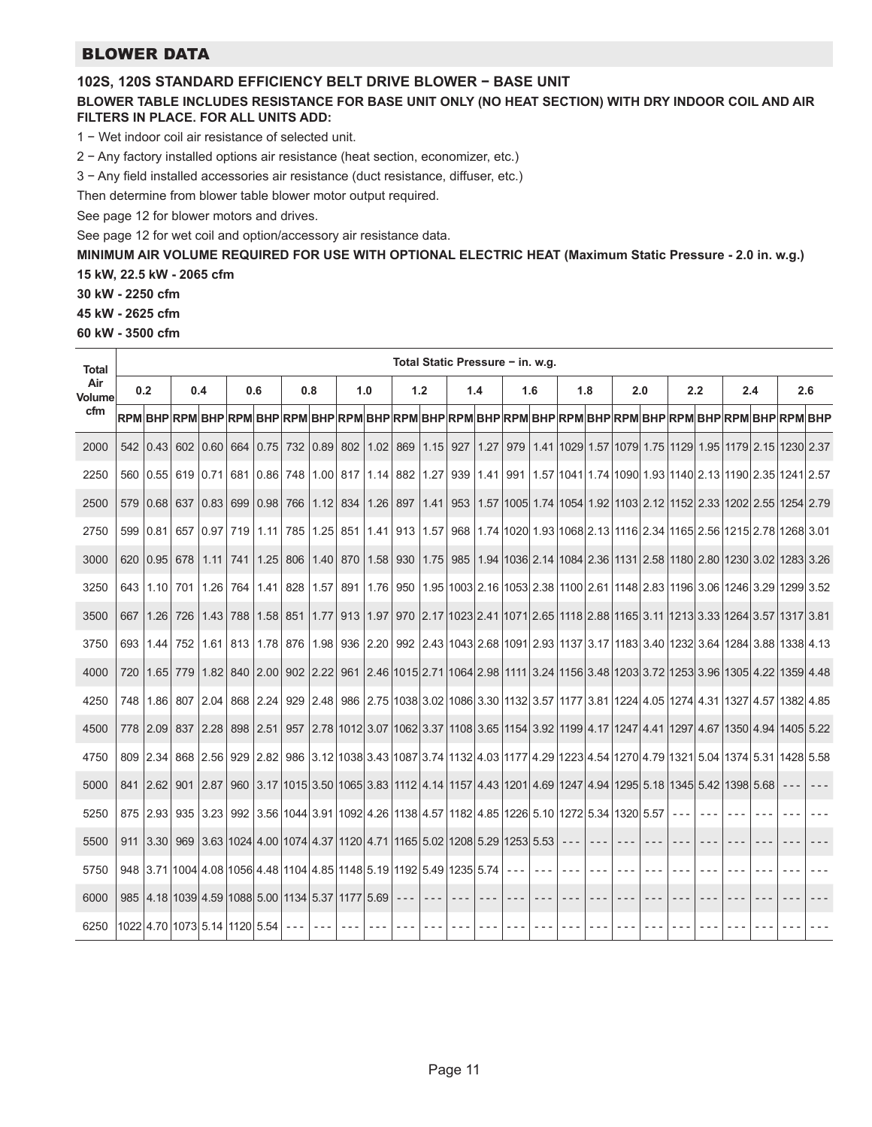## BLOWER DATA

#### **102S, 120S STANDARD EFFICIENCY BELT DRIVE BLOWER − BASE UNIT**

#### **BLOWER TABLE INCLUDES RESISTANCE FOR BASE UNIT ONLY (NO HEAT SECTION) WITH DRY INDOOR COIL AND AIR FILTERS IN PLACE. FOR ALL UNITS ADD:**

1 − Wet indoor coil air resistance of selected unit.

2 − Any factory installed options air resistance (heat section, economizer, etc.)

3 − Any field installed accessories air resistance (duct resistance, diffuser, etc.)

Then determine from blower table blower motor output required.

See page 12 for blower motors and drives.

See page 12 for wet coil and option/accessory air resistance data.

**MINIMUM AIR VOLUME REQUIRED FOR USE WITH OPTIONAL ELECTRIC HEAT (Maximum Static Pressure - 2.0 in. w.g.)**

**15 kW, 22.5 kW - 2065 cfm**

**30 kW - 2250 cfm**

**45 kW - 2625 cfm**

**60 kW - 3500 cfm**

| <b>Total</b>         | Total Static Pressure - in. w.g. |                                                                                                                       |     |      |            |                   |     |              |            |                                                                                                                                         |         |                     |     |      |     |     |     |         |         |     |                                                                                                       |  |
|----------------------|----------------------------------|-----------------------------------------------------------------------------------------------------------------------|-----|------|------------|-------------------|-----|--------------|------------|-----------------------------------------------------------------------------------------------------------------------------------------|---------|---------------------|-----|------|-----|-----|-----|---------|---------|-----|-------------------------------------------------------------------------------------------------------|--|
| Air<br><b>Volume</b> |                                  | 0.2                                                                                                                   |     | 0.4  | 0.6        |                   |     | 0.8          |            | 1.0                                                                                                                                     |         | 1.2                 |     | 1.4  | 1.6 | 1.8 | 2.0 | 2.2     |         | 2.4 | 2.6                                                                                                   |  |
| cfm                  |                                  | RPM BHP RPM BHP RPM BHP RPM BHP RPM BHP RPM BHP RPM BHP RPM BHP RPM BHP RPM BHP RPM BHP RPM BHP RPM BHP               |     |      |            |                   |     |              |            |                                                                                                                                         |         |                     |     |      |     |     |     |         |         |     |                                                                                                       |  |
| 2000                 |                                  | 542 0.43 602                                                                                                          |     | 0.60 | 664        | $0.75$ 732        |     |              | $0.89$ 802 |                                                                                                                                         |         | $1.02$ 869 1.15 927 |     | 1.27 |     |     |     |         |         |     | 979   1.41   1029   1.57   1079   1.75   1129   1.95   1179   2.15   1230   2.37                      |  |
| 2250                 | 560                              | 0.55 619 0.71 681 0.86 748 1.00 817 1.14 882 1.27 939 1.41 991 1.57 1041 1.74 1090 1.93 1140 2.13 1190 2.35 1241 2.57 |     |      |            |                   |     |              |            |                                                                                                                                         |         |                     |     |      |     |     |     |         |         |     |                                                                                                       |  |
| 2500                 | 579                              | 0.68                                                                                                                  | 637 | 0.83 | 699        | 0.98              | 766 | 1.12         | 834        | 1.26                                                                                                                                    | 897     | 1.41                | 953 |      |     |     |     |         |         |     | 1.57   1005   1.74   1054   1.92   1103   2.12   1152   2.33   1202   2.55   1254   2.79              |  |
| 2750                 | 599                              | 0.81                                                                                                                  | 657 | 0.97 | 719        | 1.11              |     | 785 1.25     |            | 851  1.41   913   1.57   968   1.74   1020   1.93   1068   2.13   1116   2.34   1165   2.56   1215   2.78   1268   3.01                 |         |                     |     |      |     |     |     |         |         |     |                                                                                                       |  |
| 3000                 | 620                              | 0.95 678                                                                                                              |     | 1.11 | 741        | 1.25              | 806 | 1.40         | 870        | 1.58                                                                                                                                    | 930     |                     |     |      |     |     |     |         |         |     | 1.75   985   1.94   1036   2.14   1084   2.36   1131   2.58   1180   2.80   1230   3.02   1283   3.26 |  |
| 3250                 | 643                              | 1.10                                                                                                                  | 701 | 1.26 | 764        | 1.41              | 828 | 1.57         |            | 891   1.76   950   1.95   1003   2.16   1053   2.38   1100   2.61   1148   2.83   1196   3.06   1246   3.29   1299   3.52               |         |                     |     |      |     |     |     |         |         |     |                                                                                                       |  |
| 3500                 | 667                              | 1.26                                                                                                                  | 726 | 1.43 | 788        | 1.58 851          |     |              |            | 1.77 913 1.97 970 2.17 1023 2.41 1071 2.65 1118 2.88 1165 3.11 1213 3.33 1264 3.57 1317 3.81                                            |         |                     |     |      |     |     |     |         |         |     |                                                                                                       |  |
| 3750                 | 693                              | 1.44                                                                                                                  | 752 |      |            | 1.61 813 1.78 876 |     | 1.98         |            | $936$   2.20                                                                                                                            |         |                     |     |      |     |     |     |         |         |     | 992 2.43 1043 2.68 1091 2.93 1137 3.17 1183 3.40 1232 3.64 1284 3.88 1338 4.13                        |  |
| 4000                 | 720                              | 1.65                                                                                                                  | 779 |      | $1.82$ 840 | 2.00              |     |              |            | 902   2.22   961   2.46   1015   2.71   1064   2.98   1111   3.24   1156   3.48   1203   3.72   1253   3.96   1305   4.22   1359   4.48 |         |                     |     |      |     |     |     |         |         |     |                                                                                                       |  |
| 4250                 | 748                              | 1.86                                                                                                                  | 807 | 2.04 | 868        | 2.24              |     | $929$   2.48 |            | 986 2.75 1038 3.02 1086 3.30 1132 3.57 1177 3.81 1224 4.05 1274 4.31 1327 4.57 1382 4.85                                                |         |                     |     |      |     |     |     |         |         |     |                                                                                                       |  |
| 4500                 | 778                              | 2.09                                                                                                                  | 837 | 2.28 | 898        | 2.51              | 957 |              |            | 2.78 1012 3.07 1062 3.37 1108 3.65 1154 3.92 1199 4.17 1247 4.41 1297 4.67 1350 4.94 1405 5.22                                          |         |                     |     |      |     |     |     |         |         |     |                                                                                                       |  |
| 4750                 | 809                              | 2.34 868 2.56 929 2.82                                                                                                |     |      |            |                   |     |              |            | 986 3.12 1038 3.43 1087 3.74 1132 4.03 1177 4.29 1223 4.54 1270 4.79 1321 5.04 1374 5.31 1428 5.58                                      |         |                     |     |      |     |     |     |         |         |     |                                                                                                       |  |
| 5000                 | 841                              | $ 2.62 $ 901                                                                                                          |     | 2.87 | 960        |                   |     |              |            | 3.17   1015   3.50   1065   3.83   1112   4.14   1157   4.43   1201   4.69   1247   4.94   1295   5.18   1345   5.42   1398   5.68      |         |                     |     |      |     |     |     |         |         |     |                                                                                                       |  |
| 5250                 |                                  | 875 2.93 935 3.23                                                                                                     |     |      |            |                   |     |              |            | 992 3.56 1044 3.91 1092 4.26 1138 4.57 1182 4.85 1226 5.10 1272 5.34 1320 5.57                                                          |         |                     |     |      |     |     |     | $- - -$ | $- - -$ |     |                                                                                                       |  |
| 5500                 | 911                              | 3.30                                                                                                                  | 969 |      |            |                   |     |              |            | $(3.63 1024 4.00 1074 4.37 1120 4.71 1165 5.02 1208 5.29 1253 5.53)$                                                                    |         |                     |     |      |     |     |     |         |         |     |                                                                                                       |  |
| 5750                 |                                  | 948 3.71 1004 4.08 1056 4.48 1104 4.85 1148 5.19 1192 5.49 1235 5.74                                                  |     |      |            |                   |     |              |            |                                                                                                                                         |         |                     |     |      |     |     |     |         |         |     |                                                                                                       |  |
| 6000                 | 985                              | 14.18 1039 4.59 1088 5.00 1134 5.37 1177 5.69                                                                         |     |      |            |                   |     |              |            |                                                                                                                                         | $- - -$ |                     |     |      |     |     |     |         |         |     |                                                                                                       |  |
| 6250                 |                                  | 1022 4.70 1073 5.14 1120 5.54                                                                                         |     |      |            |                   |     |              |            |                                                                                                                                         |         |                     |     |      |     |     |     |         |         |     |                                                                                                       |  |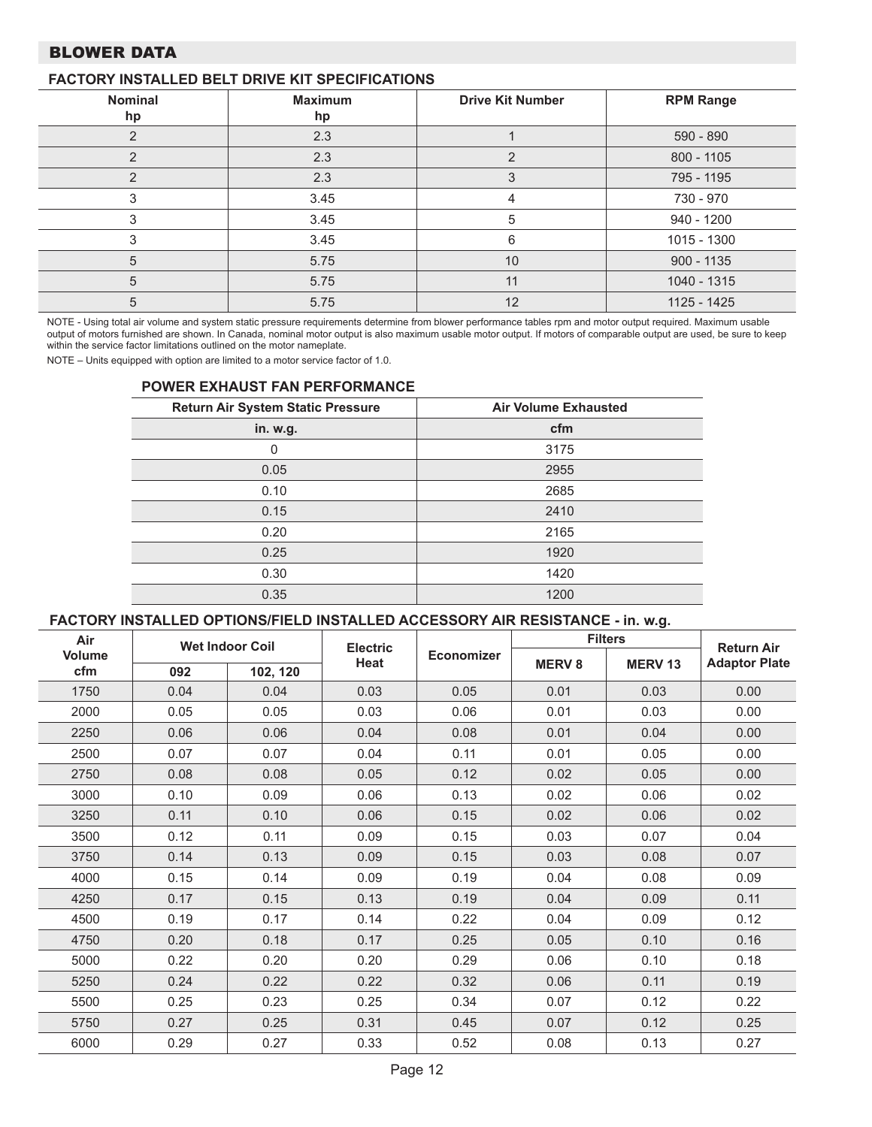## BLOWER DATA

## **FACTORY INSTALLED BELT DRIVE KIT SPECIFICATIONS**

| Nominal<br>hp | <b>Maximum</b><br>hp | <b>Drive Kit Number</b> | <b>RPM Range</b> |
|---------------|----------------------|-------------------------|------------------|
| っ             | 2.3                  |                         | 590 - 890        |
| っ             | 2.3                  | $\overline{2}$          | 800 - 1105       |
|               | 2.3                  | 3                       | 795 - 1195       |
|               | 3.45                 | 4                       | 730 - 970        |
|               | 3.45                 | 5                       | 940 - 1200       |
|               | 3.45                 | 6                       | 1015 - 1300      |
| 5             | 5.75                 | 10                      | $900 - 1135$     |
| 5             | 5.75                 | 11                      | 1040 - 1315      |
| 5             | 5.75                 | 12                      | 1125 - 1425      |

NOTE - Using total air volume and system static pressure requirements determine from blower performance tables rpm and motor output required. Maximum usable output of motors furnished are shown. In Canada, nominal motor output is also maximum usable motor output. If motors of comparable output are used, be sure to keep within the service factor limitations outlined on the motor nameplate.

NOTE – Units equipped with option are limited to a motor service factor of 1.0.

#### **POWER EXHAUST FAN PERFORMANCE**

| Return Air System Static Pressure | <b>Air Volume Exhausted</b> |
|-----------------------------------|-----------------------------|
| in. w.g.                          | cfm                         |
| 0                                 | 3175                        |
| 0.05                              | 2955                        |
| 0.10                              | 2685                        |
| 0.15                              | 2410                        |
| 0.20                              | 2165                        |
| 0.25                              | 1920                        |
| 0.30                              | 1420                        |
| 0.35                              | 1200                        |

#### **FACTORY INSTALLED OPTIONS/FIELD INSTALLED ACCESSORY AIR RESISTANCE - in. w.g.**

| Air                  |      | <b>Wet Indoor Coil</b> | <b>Electric</b> |            | <b>Filters</b> | <b>Return Air</b> |                      |
|----------------------|------|------------------------|-----------------|------------|----------------|-------------------|----------------------|
| <b>Volume</b><br>cfm | 092  | 102, 120               | Heat            | Economizer | <b>MERV8</b>   | <b>MERV13</b>     | <b>Adaptor Plate</b> |
| 1750                 | 0.04 | 0.04                   | 0.03            | 0.05       | 0.01           | 0.03              | 0.00                 |
| 2000                 | 0.05 | 0.05                   | 0.03            | 0.06       | 0.01           | 0.03              | 0.00                 |
| 2250                 | 0.06 | 0.06                   | 0.04            | 0.08       | 0.01           | 0.04              | 0.00                 |
| 2500                 | 0.07 | 0.07                   | 0.04            | 0.11       | 0.01           | 0.05              | 0.00                 |
| 2750                 | 0.08 | 0.08                   | 0.05            | 0.12       | 0.02           | 0.05              | 0.00                 |
| 3000                 | 0.10 | 0.09                   | 0.06            | 0.13       | 0.02           | 0.06              | 0.02                 |
| 3250                 | 0.11 | 0.10                   | 0.06            | 0.15       | 0.02           | 0.06              | 0.02                 |
| 3500                 | 0.12 | 0.11                   | 0.09            | 0.15       | 0.03           | 0.07              | 0.04                 |
| 3750                 | 0.14 | 0.13                   | 0.09            | 0.15       | 0.03           | 0.08              | 0.07                 |
| 4000                 | 0.15 | 0.14                   | 0.09            | 0.19       | 0.04           | 0.08              | 0.09                 |
| 4250                 | 0.17 | 0.15                   | 0.13            | 0.19       | 0.04           | 0.09              | 0.11                 |
| 4500                 | 0.19 | 0.17                   | 0.14            | 0.22       | 0.04           | 0.09              | 0.12                 |
| 4750                 | 0.20 | 0.18                   | 0.17            | 0.25       | 0.05           | 0.10              | 0.16                 |
| 5000                 | 0.22 | 0.20                   | 0.20            | 0.29       | 0.06           | 0.10              | 0.18                 |
| 5250                 | 0.24 | 0.22                   | 0.22            | 0.32       | 0.06           | 0.11              | 0.19                 |
| 5500                 | 0.25 | 0.23                   | 0.25            | 0.34       | 0.07           | 0.12              | 0.22                 |
| 5750                 | 0.27 | 0.25                   | 0.31            | 0.45       | 0.07           | 0.12              | 0.25                 |
| 6000                 | 0.29 | 0.27                   | 0.33            | 0.52       | 0.08           | 0.13              | 0.27                 |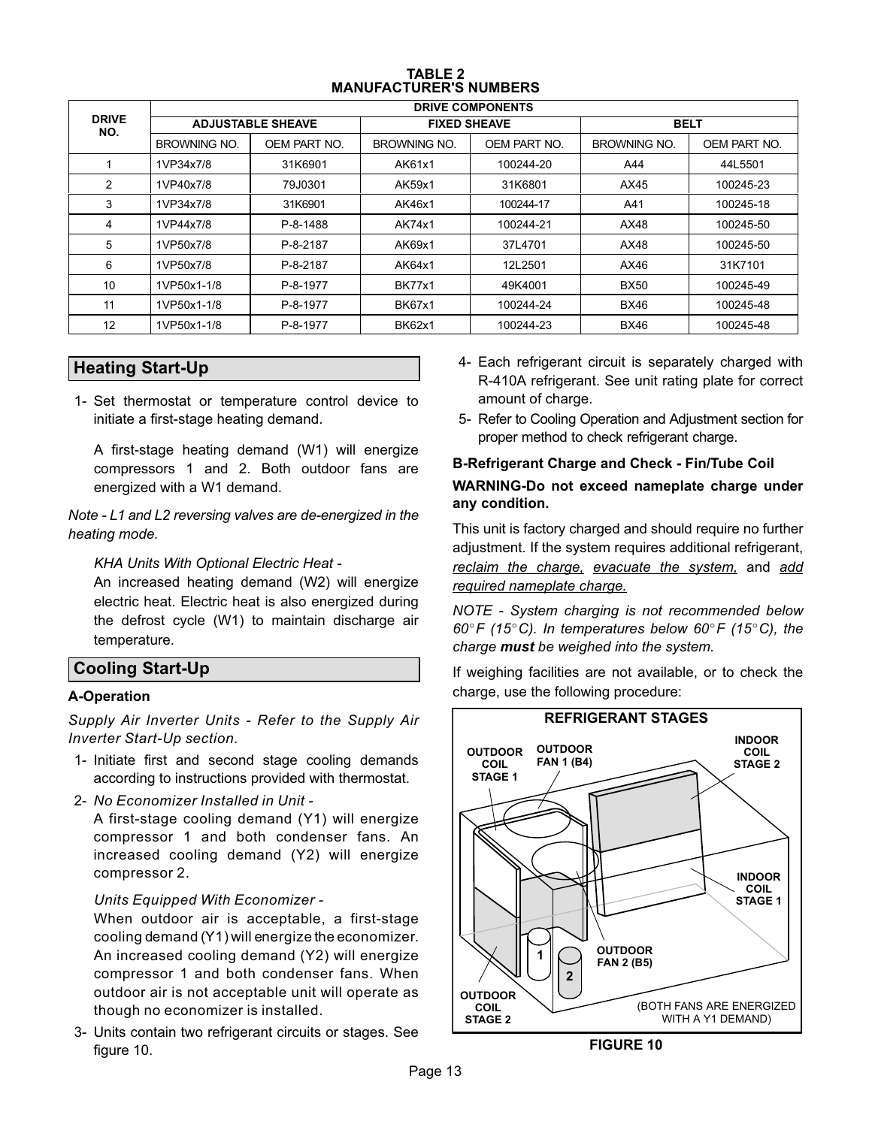| <b>TABLE 2</b>                |
|-------------------------------|
| <b>MANUFACTURER'S NUMBERS</b> |

<span id="page-12-0"></span>

|                     | <b>DRIVE COMPONENTS</b> |                          |               |                     |              |              |  |  |  |  |  |  |  |
|---------------------|-------------------------|--------------------------|---------------|---------------------|--------------|--------------|--|--|--|--|--|--|--|
| <b>DRIVE</b><br>NO. |                         | <b>ADJUSTABLE SHEAVE</b> |               | <b>FIXED SHEAVE</b> | <b>BELT</b>  |              |  |  |  |  |  |  |  |
|                     | BROWNING NO.            | OEM PART NO.             | BROWNING NO.  | OEM PART NO.        | BROWNING NO. | OEM PART NO. |  |  |  |  |  |  |  |
|                     | 1VP34x7/8               | 31K6901                  | AK61x1        | 100244-20           | A44          | 44L5501      |  |  |  |  |  |  |  |
| 2                   | 1VP40x7/8               | 79J0301                  | AK59x1        | 31K6801             | AX45         | 100245-23    |  |  |  |  |  |  |  |
| 3                   | 1VP34x7/8               | 31K6901                  | AK46x1        | 100244-17           | A41          | 100245-18    |  |  |  |  |  |  |  |
| 4                   | 1VP44x7/8               | P-8-1488                 | AK74x1        | 100244-21           | AX48         | 100245-50    |  |  |  |  |  |  |  |
| 5                   | 1VP50x7/8               | P-8-2187                 | AK69x1        | 37L4701             | AX48         | 100245-50    |  |  |  |  |  |  |  |
| 6                   | 1VP50x7/8               | P-8-2187                 | AK64x1        | 12L2501             | AX46         | 31K7101      |  |  |  |  |  |  |  |
| 10                  | 1VP50x1-1/8             | P-8-1977                 | <b>BK77x1</b> | 49K4001             | <b>BX50</b>  | 100245-49    |  |  |  |  |  |  |  |
| 11                  | 1VP50x1-1/8             | P-8-1977                 | <b>BK67x1</b> | 100244-24           | <b>BX46</b>  | 100245-48    |  |  |  |  |  |  |  |
| 12                  | 1VP50x1-1/8             | P-8-1977                 | <b>BK62x1</b> | 100244-23           | <b>BX46</b>  | 100245-48    |  |  |  |  |  |  |  |

## **Heating Start-Up**

1- Set thermostat or temperature control device to initiate a first-stage heating demand.

A first-stage heating demand (W1) will energize compressors 1 and 2. Both outdoor fans are energized with a W1 demand.

*Note - L1 and L2 reversing valves are de-energized in the heating mode.*

*KHA Units With Optional Electric Heat -*

An increased heating demand (W2) will energize electric heat. Electric heat is also energized during the defrost cycle (W1) to maintain discharge air temperature.

## **Cooling Start-Up**

## **A-Operation**

*Supply Air Inverter Units - Refer to the Supply Air Inverter Start-Up section.*

- 1- Initiate first and second stage cooling demands according to instructions provided with thermostat.
- 2- *No Economizer Installed in Unit -*

A first-stage cooling demand (Y1) will energize compressor 1 and both condenser fans. An increased cooling demand (Y2) will energize compressor 2.

#### *Units Equipped With Economizer -*

When outdoor air is acceptable, a first-stage cooling demand (Y1) will energize the economizer. An increased cooling demand (Y2) will energize compressor 1 and both condenser fans. When outdoor air is not acceptable unit will operate as though no economizer is installed.

3- Units contain two refrigerant circuits or stages. See figure 10.

- 4- Each refrigerant circuit is separately charged with R-410A refrigerant. See unit rating plate for correct amount of charge.
- 5- Refer to Cooling Operation and Adjustment section for proper method to check refrigerant charge.

## **B-Refrigerant Charge and Check - Fin/Tube Coil WARNING-Do not exceed nameplate charge under any condition.**

This unit is factory charged and should require no further adjustment. If the system requires additional refrigerant, *reclaim the charge, evacuate the system,* and *add required nameplate charge.*

*NOTE - System charging is not recommended below 60F (15C). In temperatures below 60F (15C), the charge must be weighed into the system.*

If weighing facilities are not available, or to check the charge, use the following procedure:



**FIGURE 10**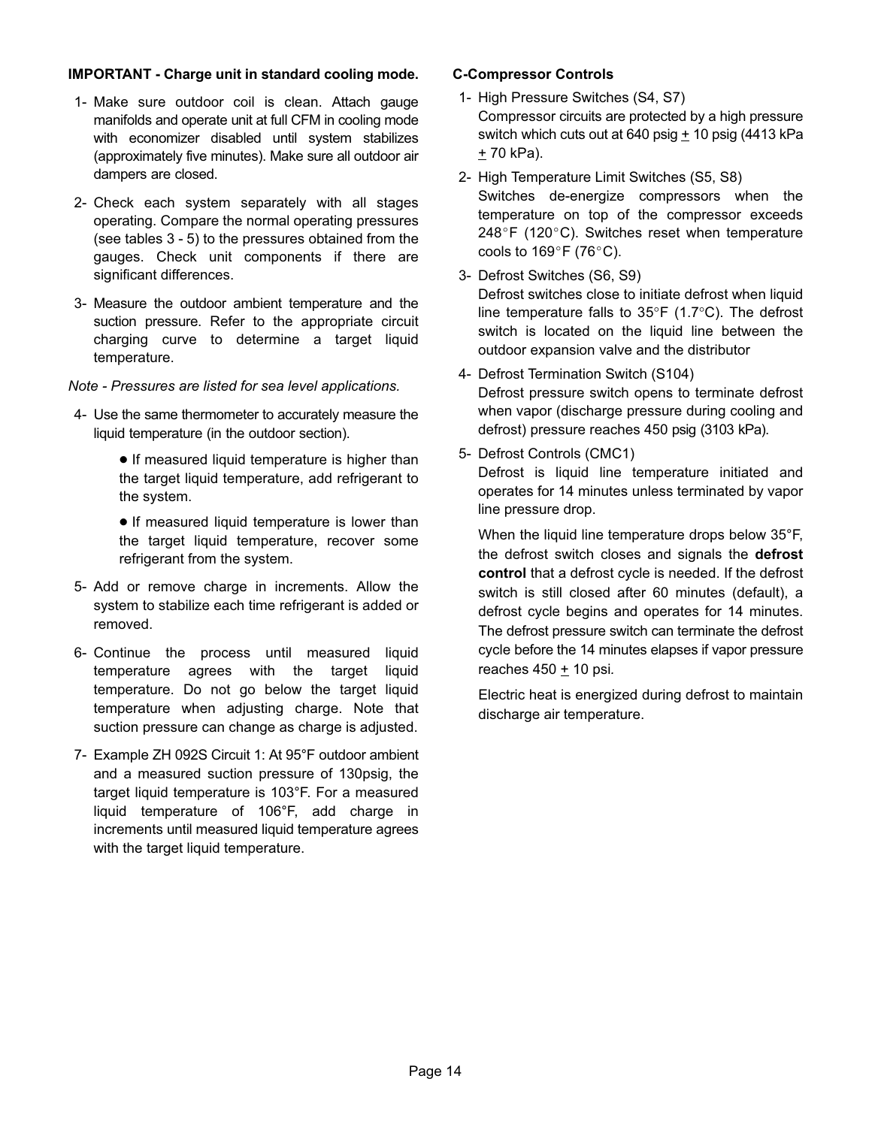#### **IMPORTANT - Charge unit in standard cooling mode.**

- 1- Make sure outdoor coil is clean. Attach gauge manifolds and operate unit at full CFM in cooling mode with economizer disabled until system stabilizes (approximately five minutes). Make sure all outdoor air dampers are closed.
- 2- Check each system separately with all stages operating. Compare the normal operating pressures (see tables [3](#page-14-0) - [5\)](#page-16-0) to the pressures obtained from the gauges. Check unit components if there are significant differences.
- 3- Measure the outdoor ambient temperature and the suction pressure. Refer to the appropriate circuit charging curve to determine a target liquid temperature.
- *Note Pressures are listed for sea level applications.*
- 4- Use the same thermometer to accurately measure the liquid temperature (in the outdoor section).
	- **•** If measured liquid temperature is higher than the target liquid temperature, add refrigerant to the system.
	- **•** If measured liquid temperature is lower than the target liquid temperature, recover some refrigerant from the system.
- 5- Add or remove charge in increments. Allow the system to stabilize each time refrigerant is added or removed.
- 6- Continue the process until measured liquid temperature agrees with the target liquid temperature. Do not go below the target liquid temperature when adjusting charge. Note that suction pressure can change as charge is adjusted.
- 7- Example ZH 092S Circuit 1: At 95°F outdoor ambient and a measured suction pressure of 130psig, the target liquid temperature is 103°F. For a measured liquid temperature of 106°F, add charge in increments until measured liquid temperature agrees with the target liquid temperature.

#### **C-Compressor Controls**

- 1- High Pressure Switches (S4, S7) Compressor circuits are protected by a high pressure switch which cuts out at 640 psig  $+$  10 psig (4413 kPa + 70 kPa).
- 2- High Temperature Limit Switches (S5, S8) Switches de-energize compressors when the temperature on top of the compressor exceeds  $248^{\circ}$ F (120 $^{\circ}$ C). Switches reset when temperature cools to  $169^{\circ}$ F (76 $^{\circ}$ C).
- 3- Defrost Switches (S6, S9) Defrost switches close to initiate defrost when liquid line temperature falls to 35°F (1.7°C). The defrost switch is located on the liquid line between the outdoor expansion valve and the distributor
- 4- Defrost Termination Switch (S104) Defrost pressure switch opens to terminate defrost when vapor (discharge pressure during cooling and defrost) pressure reaches 450 psig (3103 kPa).
- 5- Defrost Controls (CMC1)

Defrost is liquid line temperature initiated and operates for 14 minutes unless terminated by vapor line pressure drop.

When the liquid line temperature drops below 35°F, the defrost switch closes and signals the **defrost control** that a defrost cycle is needed. If the defrost switch is still closed after 60 minutes (default), a defrost cycle begins and operates for 14 minutes. The defrost pressure switch can terminate the defrost cycle before the 14 minutes elapses if vapor pressure reaches 450 ± 10 psi.

Electric heat is energized during defrost to maintain discharge air temperature.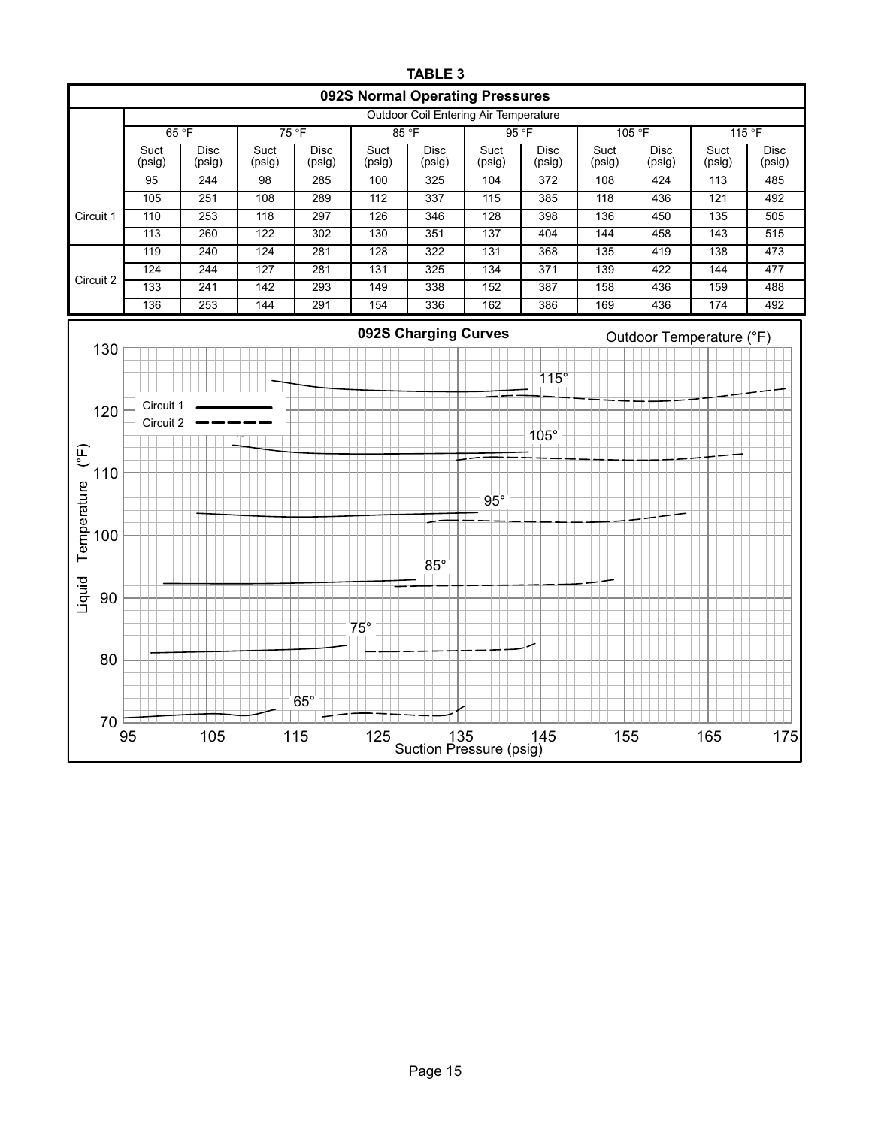<span id="page-14-0"></span>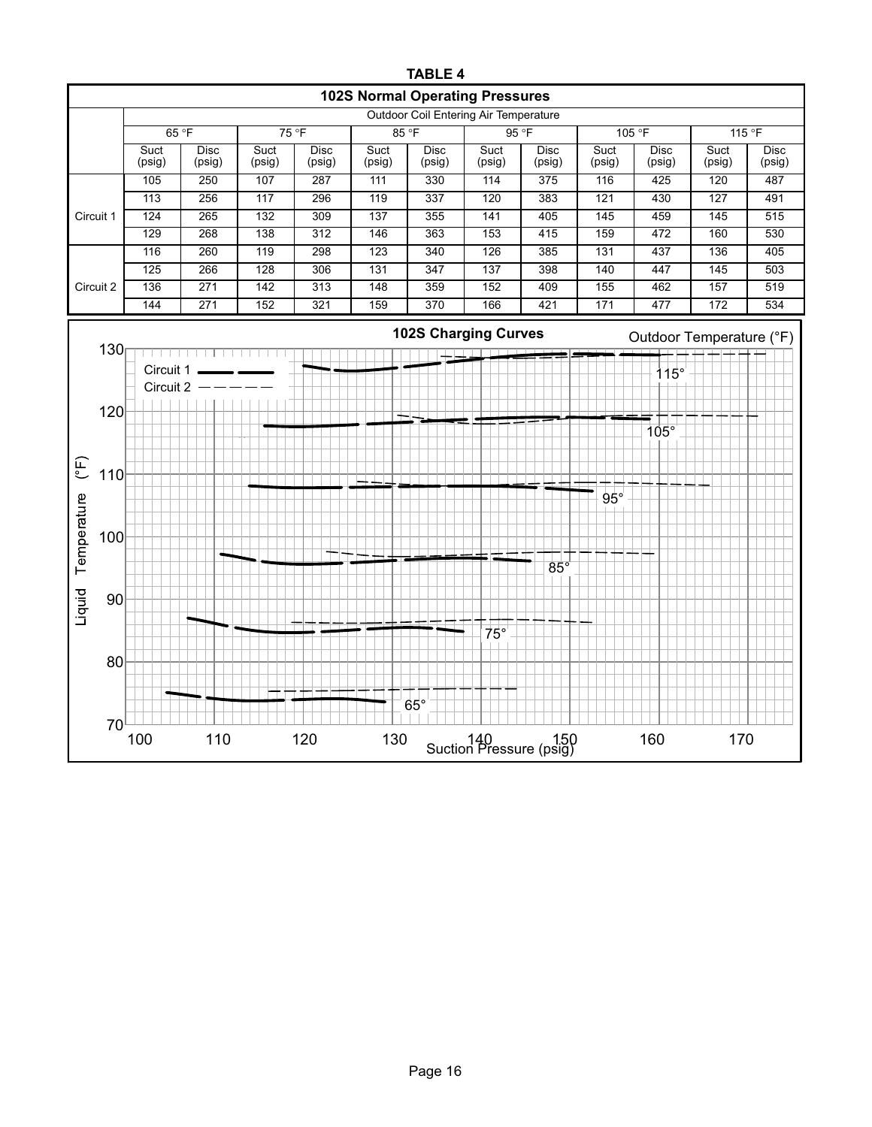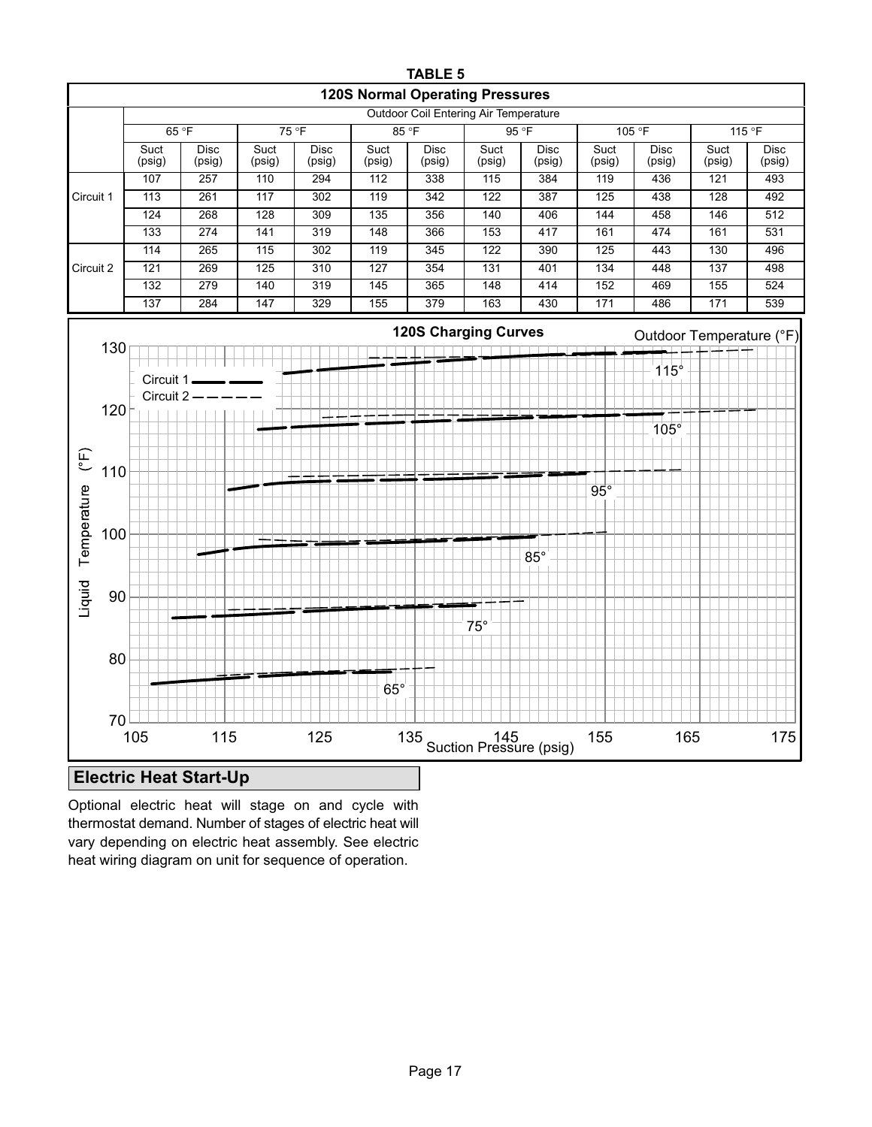<span id="page-16-0"></span>

Optional electric heat will stage on and cycle with thermostat demand. Number of stages of electric heat will vary depending on electric heat assembly. See electric heat wiring diagram on unit for sequence of operation.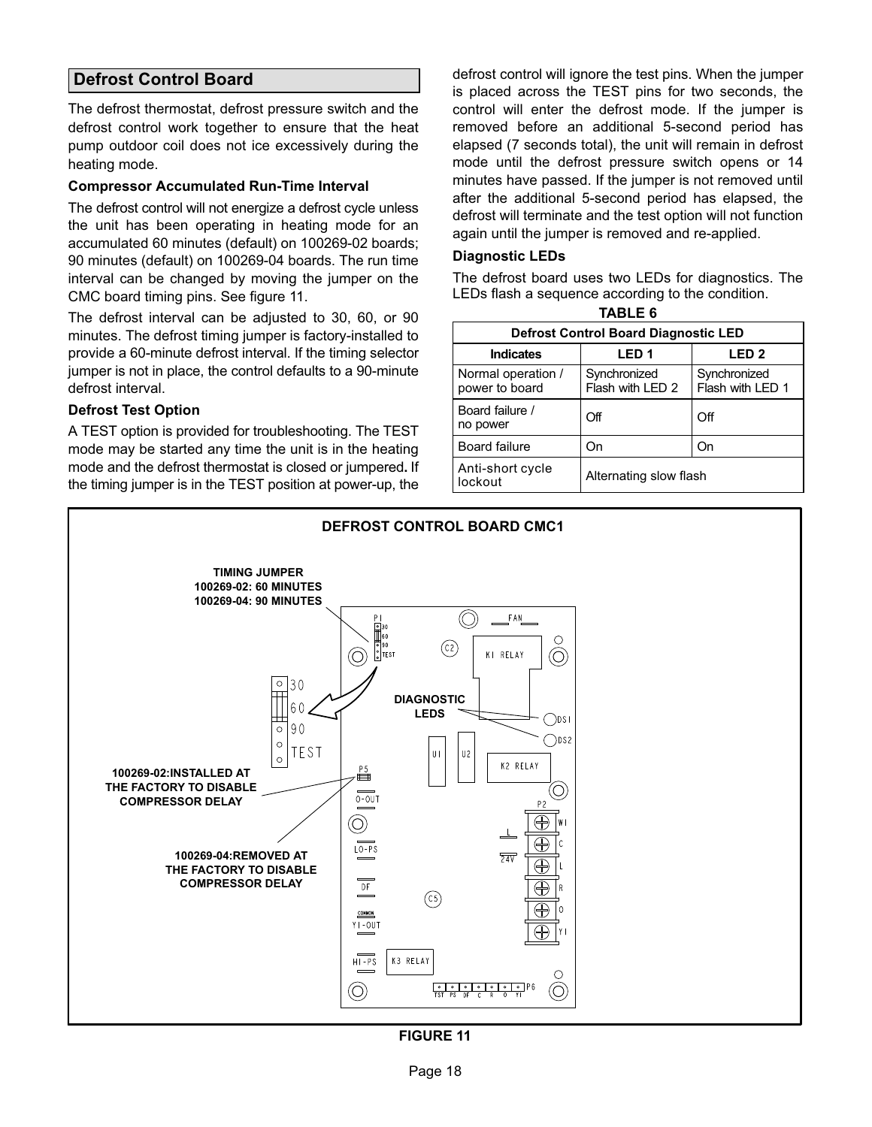## <span id="page-17-0"></span>**Defrost Control Board**

The defrost thermostat, defrost pressure switch and the defrost control work together to ensure that the heat pump outdoor coil does not ice excessively during the heating mode.

#### **Compressor Accumulated Run-Time Interval**

The defrost control will not energize a defrost cycle unless the unit has been operating in heating mode for an accumulated 60 minutes (default) on 100269-02 boards; 90 minutes (default) on 100269-04 boards. The run time interval can be changed by moving the jumper on the CMC board timing pins. See figure 11.

The defrost interval can be adjusted to 30, 60, or 90 minutes. The defrost timing jumper is factory-installed to provide a 60-minute defrost interval. If the timing selector jumper is not in place, the control defaults to a 90-minute defrost interval.

#### **Defrost Test Option**

A TEST option is provided for troubleshooting. The TEST mode may be started any time the unit is in the heating mode and the defrost thermostat is closed or jumpered**.** If the timing jumper is in the TEST position at power‐up, the

defrost control will ignore the test pins. When the jumper is placed across the TEST pins for two seconds, the control will enter the defrost mode. If the jumper is removed before an additional 5-second period has elapsed (7 seconds total), the unit will remain in defrost mode until the defrost pressure switch opens or 14 minutes have passed. If the jumper is not removed until after the additional 5-second period has elapsed, the defrost will terminate and the test option will not function again until the jumper is removed and re-applied.

#### **Diagnostic LEDs**

The defrost board uses two LEDs for diagnostics. The LEDs flash a sequence according to the condition.

| <b>TABLE 6</b>                              |                                  |                                  |
|---------------------------------------------|----------------------------------|----------------------------------|
| <b>Defrost Control Board Diagnostic LED</b> |                                  |                                  |
| <b>Indicates</b>                            | LED <sub>1</sub>                 | LED <sub>2</sub>                 |
| Normal operation /<br>power to board        | Synchronized<br>Flash with LED 2 | Synchronized<br>Flash with LED 1 |
| Board failure /<br>no power                 | Off                              | Off                              |
| <b>Board failure</b>                        | On                               | On                               |
| Anti-short cycle<br>lockout                 | Alternating slow flash           |                                  |



**FIGURE 11**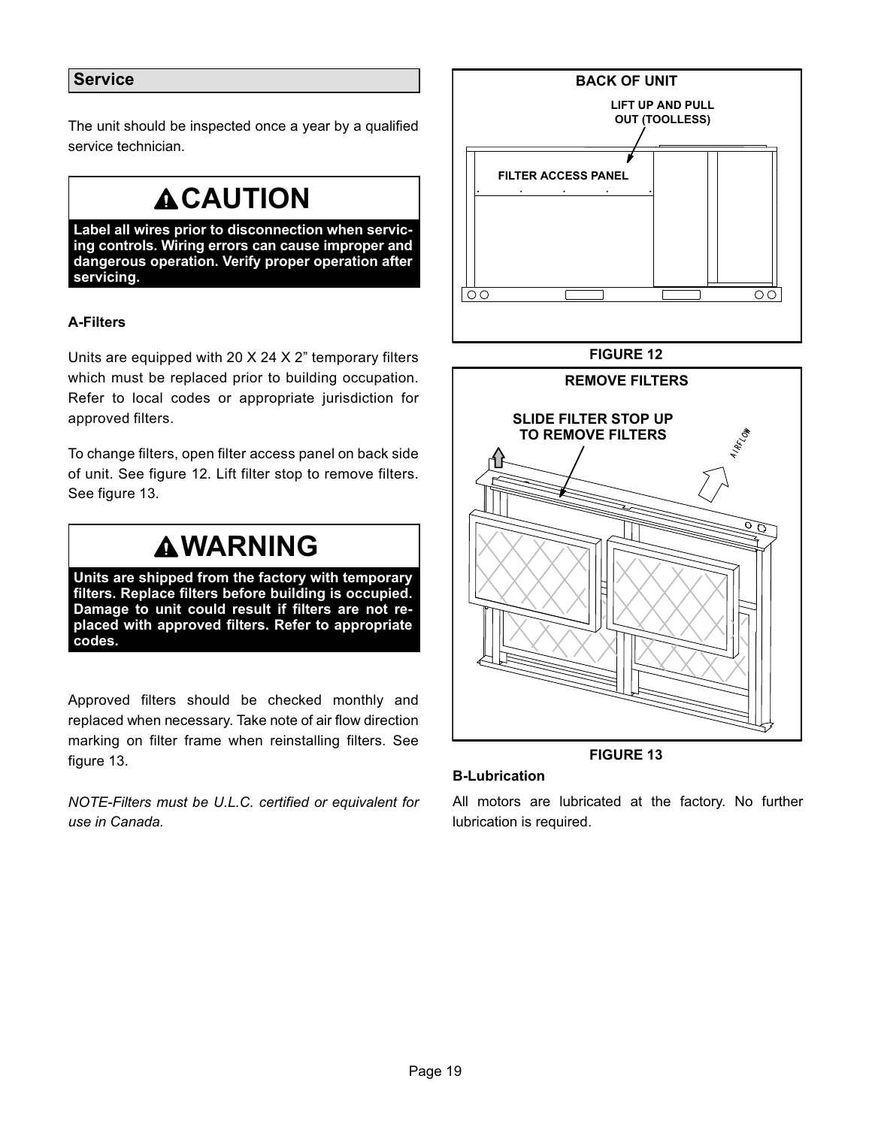## <span id="page-18-0"></span>**Service**

The unit should be inspected once a year by a qualified service technician.

## **ACAUTION**

**Label all wires prior to disconnection when servicing controls. Wiring errors can cause improper and dangerous operation. Verify proper operation after servicing.**

## **A-Filters**

Units are equipped with 20 X 24 X 2" temporary filters which must be replaced prior to building occupation. Refer to local codes or appropriate jurisdiction for approved filters.

To change filters, open filter access panel on back side of unit. See figure 12. Lift filter stop to remove filters. See figure 13.

## **WARNING**

**Units are shipped from the factory with temporary filters. Replace filters before building is occupied. Damage to unit could result if filters are not replaced with approved filters. Refer to appropriate codes.**

Approved filters should be checked monthly and replaced when necessary. Take note of air flow direction marking on filter frame when reinstalling filters. See figure 13.

*NOTE-Filters must be U.L.C. certified or equivalent for use in Canada.*



#### **FIGURE 12**



**FIGURE 13**

#### **B-Lubrication**

All motors are lubricated at the factory. No further lubrication is required.